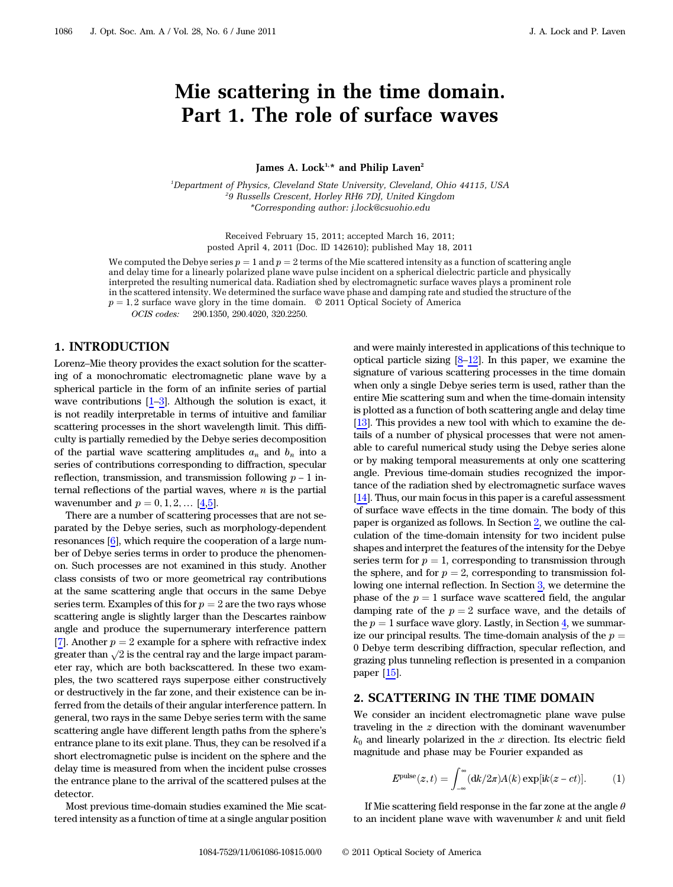# Mie scattering in the time domain. Part 1. The role of surface waves

James A. Lock<sup>1,\*</sup> and Philip Laven<sup>2</sup>

<sup>1</sup>Department of Physics, Cleveland State University, Cleveland, Ohio 44115, USA 2 9 Russells Crescent, Horley RH6 7DJ, United Kingdom \*Corresponding author: j.lock@csuohio.edu

> Received February 15, 2011; accepted March 16, 2011; posted April 4, 2011 (Doc. ID 142610); published May 18, 2011

We computed the Debye series  $p = 1$  and  $p = 2$  terms of the Mie scattered intensity as a function of scattering angle and delay time for a linearly polarized plane wave pulse incident on a spherical dielectric particle and physically interpreted the resulting numerical data. Radiation shed by electromagnetic surface waves plays a prominent role in the scattered intensity. We determined the surface wave phase and damping rate and studied the structure of the  $p = 1, 2$  surface wave glory in the time domain.  $\degree$  2011 Optical Society of America<br>*OCIS codes:* 290.1350, 290.4020, 320.2250.

290.1350, 290.4020, 320.2250.

# 1. INTRODUCTION

Lorenz–Mie theory provides the exact solution for the scattering of a monochromatic electromagnetic plane wave by a spherical particle in the form of an infinite series of partial wave contributions  $[1-3]$ . Although the solution is exact, it is not readily interpretable in terms of intuitive and familiar scattering processes in the short wavelength limit. This difficulty is partially remedied by the Debye series decomposition of the partial wave scattering amplitudes  $a_n$  and  $b_n$  into a series of contributions corresponding to diffraction, specular reflection, transmission, and transmission following  $p - 1$  internal reflections of the partial waves, where  $n$  is the partial wavenumber and  $p = 0, 1, 2, ...$  [[4](#page-9-0)[,5\]](#page-9-1).

There are a number of scattering processes that are not separated by the Debye series, such as morphology-dependent resonances [\[6\]](#page-9-2), which require the cooperation of a large number of Debye series terms in order to produce the phenomenon. Such processes are not examined in this study. Another class consists of two or more geometrical ray contributions at the same scattering angle that occurs in the same Debye series term. Examples of this for  $p = 2$  are the two rays whose scattering angle is slightly larger than the Descartes rainbow angle and produce the supernumerary interference pattern [[7](#page-9-3)]. Another  $p = 2$  example for a sphere with refractive index greater than  $\sqrt{2}$  is the central ray and the large impact parameter ray, which are both backscattered. In these two examples, the two scattered rays superpose either constructively or destructively in the far zone, and their existence can be inferred from the details of their angular interference pattern. In general, two rays in the same Debye series term with the same scattering angle have different length paths from the sphere's entrance plane to its exit plane. Thus, they can be resolved if a short electromagnetic pulse is incident on the sphere and the delay time is measured from when the incident pulse crosses the entrance plane to the arrival of the scattered pulses at the detector.

Most previous time-domain studies examined the Mie scattered intensity as a function of time at a single angular position and were mainly interested in applications of this technique to optical particle sizing  $[8-12]$  $[8-12]$ . In this paper, we examine the signature of various scattering processes in the time domain when only a single Debye series term is used, rather than the entire Mie scattering sum and when the time-domain intensity is plotted as a function of both scattering angle and delay time [13]. This provides a new tool with which to examine the details of a number of physical processes that were not amenable to careful numerical study using the Debye series alone or by making temporal measurements at only one scattering angle. Previous time-domain studies recognized the importance of the radiation shed by electromagnetic surface waves [14]. Thus, our main focus in this paper is a careful assessment of surface wave effects in the time domain. The body of this paper is organized as follows. In Section [2,](#page-0-0) we outline the calculation of the time-domain intensity for two incident pulse shapes and interpret the features of the intensity for the Debye series term for  $p = 1$ , corresponding to transmission through the sphere, and for  $p = 2$ , corresponding to transmission following one internal reflection. In Section [3,](#page-3-0) we determine the phase of the  $p = 1$  surface wave scattered field, the angular damping rate of the  $p = 2$  surface wave, and the details of the  $p = 1$  surface wave glory. Lastly, in Section [4](#page-8-0), we summarize our principal results. The time-domain analysis of the  $p =$ 0 Debye term describing diffraction, specular reflection, and grazing plus tunneling reflection is presented in a companion paper [15].

# <span id="page-0-0"></span>2. SCATTERING IN THE TIME DOMAIN

We consider an incident electromagnetic plane wave pulse traveling in the z direction with the dominant wavenumber  $k_0$  and linearly polarized in the x direction. Its electric field magnitude and phase may be Fourier expanded as

$$
E^{\text{pulse}}(z,t) = \int_{-\infty}^{\infty} (\mathrm{d}k/2\pi) A(k) \exp[i k(z-ct)]. \tag{1}
$$

If Mie scattering field response in the far zone at the angle  $\theta$ to an incident plane wave with wavenumber  $k$  and unit field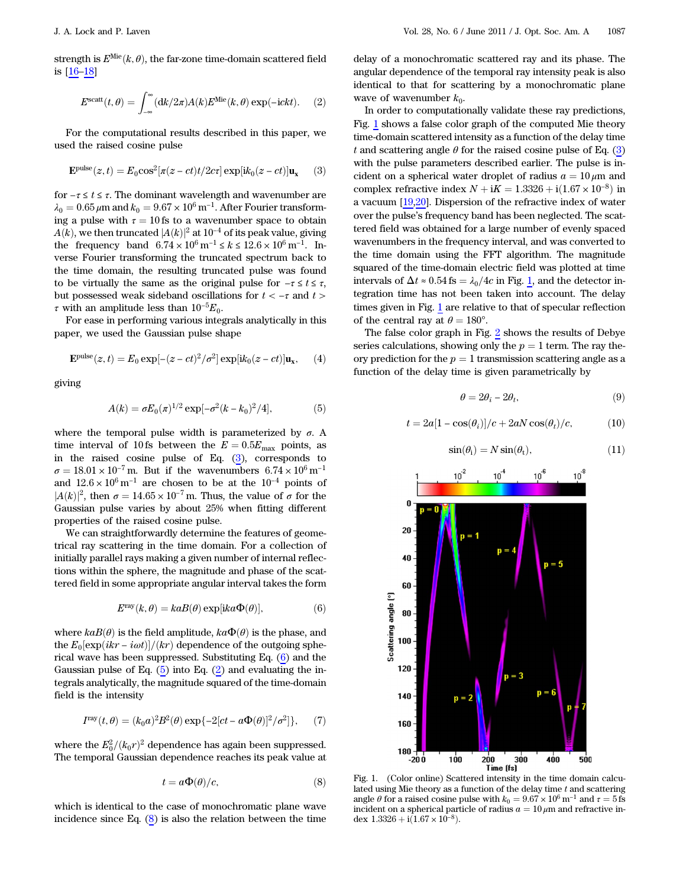<span id="page-1-3"></span>strength is  $E^{\text{Mie}}(k, \theta)$ , the far-zone time-domain scattered field is [16–18]

$$
E^{\rm scatt}(t,\theta) = \int_{-\infty}^{\infty} (\mathrm{d}k/2\pi) A(k) E^{\rm Mie}(k,\theta) \exp(-\mathrm{i}ckt). \tag{2}
$$

<span id="page-1-0"></span>For the computational results described in this paper, we used the raised cosine pulse

$$
\mathbf{E}^{\text{pulse}}(z,t) = E_0 \cos^2[\pi(z-ct)t/2c\tau] \exp[i k_0(z-ct)] \mathbf{u_x} \quad (3)
$$

for  $-\tau\leq t\leq\tau.$  The dominant wavelength and wavenumber are  $\lambda_0 = 0.65 \,\mu\mathrm{m}$  and  $k_0 = 9.67 \times 10^6 \,\mathrm{m}^{-1}$ . After Fourier transforming a pulse with  $\tau = 10$  fs to a wavenumber space to obtain  $A(k)$ , we then truncated  $|A(k)|^2$  at 10<sup>-4</sup> of its peak value, giving the frequency band  $6.74 \times 10^6$  m<sup>-1</sup> ≤ k ≤  $12.6 \times 10^6$  m<sup>-1</sup>. Inverse Fourier transforming the truncated spectrum back to the time domain, the resulting truncated pulse was found to be virtually the same as the original pulse for  $-\tau \le t \le \tau$ , but possessed weak sideband oscillations for  $t < -\tau$  and  $t >$  $\tau$  with an amplitude less than 10<sup>-5</sup> $E_0$ .

For ease in performing various integrals analytically in this paper, we used the Gaussian pulse shape

$$
\mathbf{E}^{\text{pulse}}(z,t) = E_0 \exp[-(z-ct)^2/\sigma^2] \exp[i k_0(z-ct)] \mathbf{u_x}, \quad (4)
$$

<span id="page-1-2"></span>giving

$$
A(k) = \sigma E_0(\pi)^{1/2} \exp[-\sigma^2 (k - k_0)^2 / 4], \tag{5}
$$

where the temporal pulse width is parameterized by  $\sigma$ . A time interval of 10 fs between the  $E = 0.5E_{\text{max}}$  points, as in the raised cosine pulse of Eq. [\(3\)](#page-1-0), corresponds to  $\sigma = 18.01 \times 10^{-7}$  m. But if the wavenumbers  $6.74 \times 10^{6}$  m<sup>-1</sup> and  $12.6 \times 10^6 \,\mathrm{m}^{-1}$  are chosen to be at the  $10^{-4}$  points of  $|A(k)|^2$ , then  $\sigma = 14.65 \times 10^{-7}$  m. Thus, the value of  $\sigma$  for the Gaussian pulse varies by about 25% when fitting different properties of the raised cosine pulse.

<span id="page-1-1"></span>We can straightforwardly determine the features of geometrical ray scattering in the time domain. For a collection of initially parallel rays making a given number of internal reflections within the sphere, the magnitude and phase of the scattered field in some appropriate angular interval takes the form

$$
Eray(k, \theta) = kaB(\theta) \exp[ika\Phi(\theta)],
$$
 (6)

where  $kaB(\theta)$  is the field amplitude,  $ka\Phi(\theta)$  is the phase, and the  $E_0[\exp(ikr - i\omega t)]/(kr)$  dependence of the outgoing spherical wave has been suppressed. Substituting Eq. ([6](#page-1-1)) and the Gaussian pulse of Eq.  $(5)$  into Eq.  $(2)$  and evaluating the integrals analytically, the magnitude squared of the time-domain field is the intensity

$$
Iray(t, \theta) = (k_0 a)^2 B^2(\theta) \exp\{-2[ct - a\Phi(\theta)]^2/\sigma^2\},
$$
 (7)

<span id="page-1-4"></span>where the  $E_0^2/(k_0r)^2$  dependence has again been suppressed.<br>The temporal Gaussian dependence reaches its peak value at The temporal Gaussian dependence reaches its peak value at

$$
t = a\Phi(\theta)/c,\t\t(8)
$$

which is identical to the case of monochromatic plane wave incidence since Eq. [\(8\)](#page-1-4) is also the relation between the time

delay of a monochromatic scattered ray and its phase. The angular dependence of the temporal ray intensity peak is also identical to that for scattering by a monochromatic plane wave of wavenumber  $k_0$ .

In order to computationally validate these ray predictions, Fig. [1](#page-1-5) shows a false color graph of the computed Mie theory time-domain scattered intensity as a function of the delay time t and scattering angle  $\theta$  for the raised cosine pulse of Eq. [\(3\)](#page-1-0) with the pulse parameters described earlier. The pulse is incident on a spherical water droplet of radius  $a = 10 \mu m$  and complex refractive index  $N + iK = 1.3326 + i(1.67 \times 10^{-8})$  in a vacuum [19,20]. Dispersion of the refractive index of water over the pulse's frequency band has been neglected. The scattered field was obtained for a large number of evenly spaced wavenumbers in the frequency interval, and was converted to the time domain using the FFT algorithm. The magnitude squared of the time-domain electric field was plotted at time intervals of  $\Delta t \approx 0.54$  fs =  $\lambda_0/4c$  in Fig. [1,](#page-1-5) and the detector integration time has not been taken into account. The delay times given in Fig. [1](#page-1-5) are relative to that of specular reflection of the central ray at  $\theta = 180^{\circ}$ .

<span id="page-1-6"></span>The false color graph in Fig. [2](#page-2-0) shows the results of Debye series calculations, showing only the  $p = 1$  term. The ray theory prediction for the  $p = 1$  transmission scattering angle as a function of the delay time is given parametrically by

$$
\theta = 2\theta_i - 2\theta_t,\tag{9}
$$

<span id="page-1-7"></span>
$$
t = 2a[1 - \cos(\theta_i)]/c + 2aN\cos(\theta_t)/c, \qquad (10)
$$

$$
\sin(\theta_{\rm i}) = N \sin(\theta_{\rm t}),\tag{11}
$$

<span id="page-1-5"></span>

Fig. 1. (Color online) Scattered intensity in the time domain calculated using Mie theory as a function of the delay time  $t$  and scattering angle  $\theta$  for a raised cosine pulse with  $k_0 = 9.67 \times 10^6 \,\text{m}^{-1}$  and  $\tau = 5 \,\text{fs}$ incident on a spherical particle of radius  $a = 10 \,\mu$ m and refractive index  $1.3326 + i(1.67 \times 10^{-8})$ .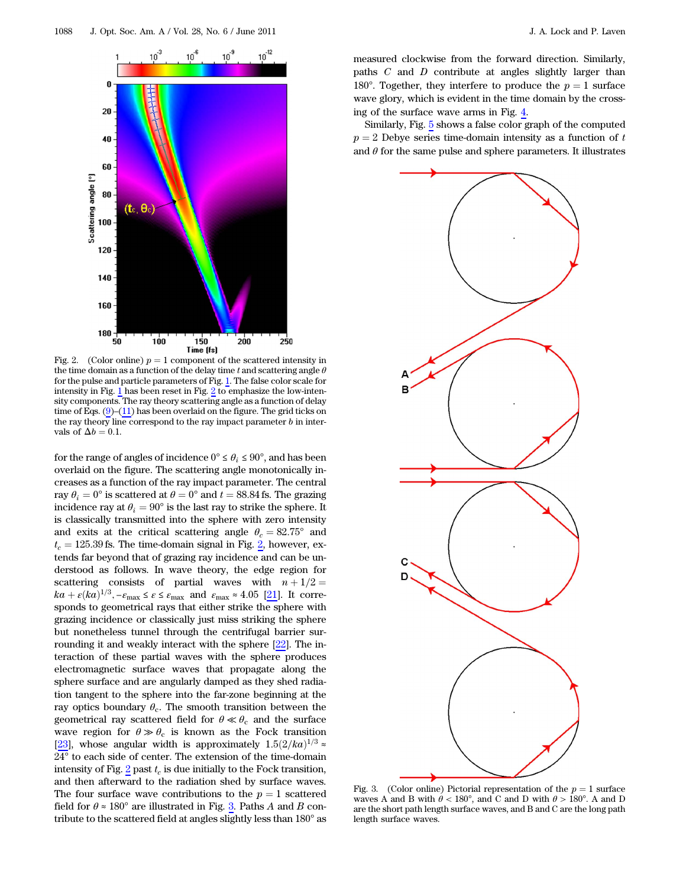<span id="page-2-0"></span>

Fig. 2. (Color online)  $p = 1$  component of the scattered intensity in the time domain as a function of the delay time t and scattering angle  $\theta$ for the pulse and particle parameters of Fig. [1.](#page-1-5) The false color scale for intensity in Fig. [1](#page-1-5) has been reset in Fig. [2](#page-2-0) to emphasize the low-intensity components. The ray theory scattering angle as a function of delay time of Eqs.  $(9)$  $(9)$ – $(11)$  $(11)$  has been overlaid on the figure. The grid ticks on the ray theory line correspond to the ray impact parameter  $b$  in intervals of  $\Delta b = 0.1$ .

for the range of angles of incidence  $0^{\circ} \le \theta_i \le 90^{\circ}$ , and has been overlaid on the figure. The scattering angle monotonically increases as a function of the ray impact parameter. The central ray  $\theta_i = 0^\circ$  is scattered at  $\theta = 0^\circ$  and  $t = 88.84$  fs. The grazing incidence ray at  $\theta_i = 90^\circ$  is the last ray to strike the sphere. It is classically transmitted into the sphere with zero intensity and exits at the critical scattering angle  $\theta_c = 82.75^{\circ}$  and  $t_c = 125.39$  $t_c = 125.39$  $t_c = 125.39$  fs. The time-domain signal in Fig. 2, however, extends far beyond that of grazing ray incidence and can be understood as follows. In wave theory, the edge region for scattering consists of partial waves with  $n + 1/2 =$  $ka + \varepsilon (ka)^{1/3}, -\varepsilon_{\text{max}} \leq \varepsilon \leq \varepsilon_{\text{max}}$  and  $\varepsilon_{\text{max}} \approx 4.05$  [21]. It corresponds to geometrical rays that either strike the sphere with grazing incidence or classically just miss striking the sphere but nonetheless tunnel through the centrifugal barrier surrounding it and weakly interact with the sphere [22]. The interaction of these partial waves with the sphere produces electromagnetic surface waves that propagate along the sphere surface and are angularly damped as they shed radiation tangent to the sphere into the far-zone beginning at the ray optics boundary  $\theta_c$ . The smooth transition between the geometrical ray scattered field for  $\theta \ll \theta_c$  and the surface wave region for  $\theta \gg \theta_c$  is known as the Fock transition [23], whose angular width is approximately  $1.5(2/ka)^{1/3} \approx$ 24° to each side of center. The extension of the time-domain intensity of Fig.  $2$  past  $t_c$  is due initially to the Fock transition, and then afterward to the radiation shed by surface waves. The four surface wave contributions to the  $p = 1$  scattered field for  $\theta \approx 180^\circ$  are illustrated in Fig. [3](#page-2-1). Paths A and B contribute to the scattered field at angles slightly less than 180° as

measured clockwise from the forward direction. Similarly, paths  $C$  and  $D$  contribute at angles slightly larger than 180°. Together, they interfere to produce the  $p = 1$  surface wave glory, which is evident in the time domain by the crossing of the surface wave arms in Fig. [4](#page-3-1).

Similarly, Fig. [5](#page-3-2) shows a false color graph of the computed  $p = 2$  Debye series time-domain intensity as a function of t and  $\theta$  for the same pulse and sphere parameters. It illustrates

<span id="page-2-1"></span>

Fig. 3. (Color online) Pictorial representation of the  $p = 1$  surface waves A and B with  $\theta$  < 180°, and C and D with  $\theta$  > 180°. A and D are the short path length surface waves, and B and C are the long path length surface waves.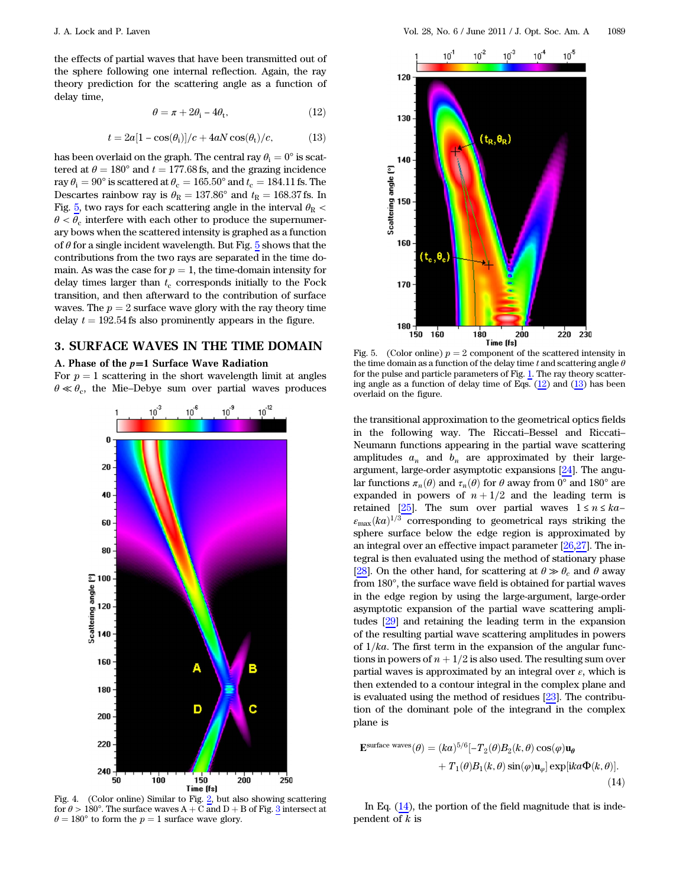<span id="page-3-5"></span><span id="page-3-4"></span>the effects of partial waves that have been transmitted out of the sphere following one internal reflection. Again, the ray theory prediction for the scattering angle as a function of delay time,

$$
\theta = \pi + 2\theta_{\rm i} - 4\theta_{\rm t},\tag{12}
$$

$$
t = 2a[1 - \cos(\theta_i)]/c + 4aN\cos(\theta_t)/c,
$$
 (13)

has been overlaid on the graph. The central ray  $\theta_i = 0^\circ$  is scattered at  $\theta = 180^\circ$  and  $t = 177.68$  fs, and the grazing incidence ray  $\theta_i = 90^\circ$  is scattered at  $\theta_c = 165.50^\circ$  and  $t_c = 184.11$  fs. The Descartes rainbow ray is  $\theta_R = 137.86^\circ$  and  $t_R = 168.37$  fs. In Fig. [5,](#page-3-2) two rays for each scattering angle in the interval  $\theta_R$  <  $\theta < \theta_c$  interfere with each other to produce the supernumerary bows when the scattered intensity is graphed as a function of  $\theta$  for a single incident wavelength. But Fig. [5](#page-3-2) shows that the contributions from the two rays are separated in the time domain. As was the case for  $p = 1$ , the time-domain intensity for delay times larger than  $t_c$  corresponds initially to the Fock transition, and then afterward to the contribution of surface waves. The  $p = 2$  surface wave glory with the ray theory time delay  $t = 192.54$  fs also prominently appears in the figure.

## <span id="page-3-0"></span>3. SURFACE WAVES IN THE TIME DOMAIN

#### A. Phase of the  $p=1$  Surface Wave Radiation

For  $p = 1$  scattering in the short wavelength limit at angles  $\theta \ll \theta_c$ , the Mie–Debye sum over partial waves produces

<span id="page-3-1"></span>

J. A. Lock and P. Laven Vol. 28, No. 6 / June 2011 / J. Opt. Soc. Am. A 1089

<span id="page-3-2"></span>

Fig. 5. (Color online)  $p = 2$  component of the scattered intensity in the time domain as a function of the delay time t and scattering angle  $\theta$ for the pulse and particle parameters of Fig. [1.](#page-1-5) The ray theory scattering angle as a function of delay time of Eqs.  $(12)$  $(12)$  and  $(13)$  $(13)$  has been overlaid on the figure.

the transitional approximation to the geometrical optics fields in the following way. The Riccati–Bessel and Riccati– Neumann functions appearing in the partial wave scattering amplitudes  $a_n$  and  $b_n$  are approximated by their largeargument, large-order asymptotic expansions [24]. The angular functions  $\pi_n(\theta)$  and  $\tau_n(\theta)$  for  $\theta$  away from 0° and 180° are expanded in powers of  $n + 1/2$  and the leading term is retained [25]. The sum over partial waves  $1 \le n \le ka \varepsilon_{\text{max}}(ka)^{1/3}$  corresponding to geometrical rays striking the sphere surface below the edge region is approximated by an integral over an effective impact parameter [26,27]. The integral is then evaluated using the method of stationary phase [28]. On the other hand, for scattering at  $\theta \gg \theta_c$  and  $\theta$  away from 180°, the surface wave field is obtained for partial waves in the edge region by using the large-argument, large-order asymptotic expansion of the partial wave scattering amplitudes [29] and retaining the leading term in the expansion of the resulting partial wave scattering amplitudes in powers of  $1/ka$ . The first term in the expansion of the angular functions in powers of  $n + 1/2$  is also used. The resulting sum over partial waves is approximated by an integral over  $\varepsilon$ , which is then extended to a contour integral in the complex plane and is evaluated using the method of residues [23]. The contribution of the dominant pole of the integrand in the complex plane is

<span id="page-3-3"></span>
$$
\mathbf{E}^{\text{surface waves}}(\theta) = (ka)^{5/6} [-T_2(\theta)B_2(k,\theta)\cos(\varphi)\mathbf{u}_{\theta} + T_1(\theta)B_1(k,\theta)\sin(\varphi)\mathbf{u}_{\varphi}] \exp[ika\Phi(k,\theta)].
$$
\n(14)

Fig. 4. (Color online) Similar to Fig. [2,](#page-2-0) but also showing scattering for  $\theta > 180^\circ$ . The surface waves A + C and D + B of Fig. [3](#page-2-1) intersect at  $\theta = 180^{\circ}$  to form the  $p = 1$  surface wave glory.

<span id="page-3-6"></span>In Eq.  $(14)$  $(14)$ , the portion of the field magnitude that is independent of  $k$  is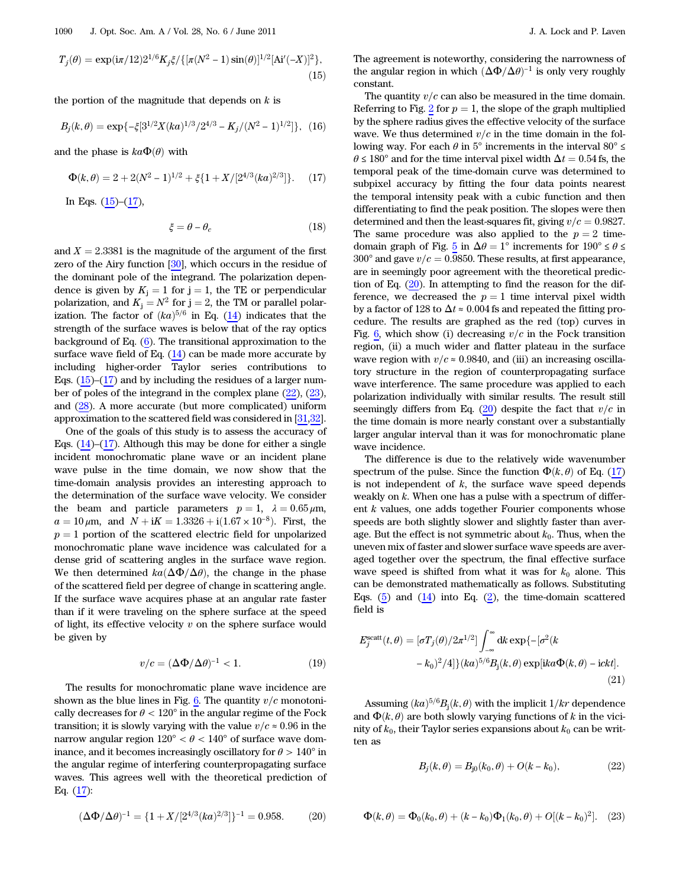$$
T_j(\theta) = \exp(i\pi/12)2^{1/6} K_j \xi / \{[\pi(N^2 - 1)\sin(\theta)]^{1/2} [\text{Ai}'(-X)]^2\},\tag{15}
$$

<span id="page-4-5"></span>the portion of the magnitude that depends on  $k$  is

$$
B_j(k,\theta) = \exp\{-\xi[3^{1/2}X(ka)^{1/3}/2^{4/3} - K_j/(N^2-1)^{1/2}]\}, (16)
$$

<span id="page-4-0"></span>and the phase is  $ka\Phi(\theta)$  with

$$
\Phi(k,\theta) = 2 + 2(N^2 - 1)^{1/2} + \xi \{1 + X/[2^{4/3}(ka)^{2/3}]\}.
$$
 (17)

<span id="page-4-6"></span>In Eqs.  $(15)-(17)$  $(15)-(17)$  $(15)-(17)$ ,

$$
\xi = \theta - \theta_c \tag{18}
$$

and  $X = 2.3381$  is the magnitude of the argument of the first zero of the Airy function [30], which occurs in the residue of the dominant pole of the integrand. The polarization dependence is given by  $K_i = 1$  for  $j = 1$ , the TE or perpendicular polarization, and  $K_i = N^2$  for  $j = 2$ , the TM or parallel polarization. The factor of  $(ka)^{5/6}$  in Eq. ([14\)](#page-3-3) indicates that the strength of the surface waves is below that of the ray optics background of Eq. [\(6\)](#page-1-1). The transitional approximation to the surface wave field of Eq.  $(14)$  $(14)$  can be made more accurate by including higher-order Taylor series contributions to Eqs.  $(15)$  $(15)$ – $(17)$  $(17)$  and by including the residues of a larger number of poles of the integrand in the complex plane [\(22](#page-4-1)), [\(23](#page-4-2)), and [\(28](#page-5-0)). A more accurate (but more complicated) uniform approximation to the scattered field was considered in [31,32].

One of the goals of this study is to assess the accuracy of Eqs.  $(14)$  $(14)$ – $(17)$  $(17)$ . Although this may be done for either a single incident monochromatic plane wave or an incident plane wave pulse in the time domain, we now show that the time-domain analysis provides an interesting approach to the determination of the surface wave velocity. We consider the beam and particle parameters  $p = 1$ ,  $\lambda = 0.65 \,\mu \text{m}$ ,  $a = 10 \,\mu\text{m}$ , and  $N + iK = 1.3326 + i(1.67 \times 10^{-8})$ . First, the  $p = 1$  portion of the scattered electric field for unpolarized monochromatic plane wave incidence was calculated for a dense grid of scattering angles in the surface wave region. We then determined  $ka(\Delta\Phi/\Delta\theta)$ , the change in the phase of the scattered field per degree of change in scattering angle. If the surface wave acquires phase at an angular rate faster than if it were traveling on the sphere surface at the speed of light, its effective velocity  $v$  on the sphere surface would be given by

$$
v/c = (\Delta \Phi / \Delta \theta)^{-1} < 1. \tag{19}
$$

The results for monochromatic plane wave incidence are shown as the blue lines in Fig. [6](#page-5-1). The quantity  $v/c$  monotonically decreases for  $\theta$  < 120° in the angular regime of the Fock transition; it is slowly varying with the value  $v/c \approx 0.96$  in the narrow angular region  $120^{\circ} < \theta < 140^{\circ}$  of surface wave dominance, and it becomes increasingly oscillatory for  $\theta > 140^{\circ}$  in the angular regime of interfering counterpropagating surface waves. This agrees well with the theoretical prediction of Eq. [\(17](#page-4-0)):

<span id="page-4-3"></span>
$$
(\Delta \Phi / \Delta \theta)^{-1} = \{1 + X/[2^{4/3}(ka)^{2/3}]\}^{-1} = 0.958. \tag{20}
$$

The agreement is noteworthy, considering the narrowness of the angular region in which  $(\Delta \Phi / \Delta \theta)^{-1}$  is only very roughly constant.

The quantity  $v/c$  can also be measured in the time domain. Referring to Fig. [2](#page-2-0) for  $p = 1$ , the slope of the graph multiplied by the sphere radius gives the effective velocity of the surface wave. We thus determined  $v/c$  in the time domain in the following way. For each  $\theta$  in  $5^{\circ}$  increments in the interval  $80^{\circ} \le$  $\theta \le 180^{\circ}$  and for the time interval pixel width  $\Delta t = 0.54$  fs, the temporal peak of the time-domain curve was determined to subpixel accuracy by fitting the four data points nearest the temporal intensity peak with a cubic function and then differentiating to find the peak position. The slopes were then determined and then the least-squares fit, giving  $v/c = 0.9827$ . The same procedure was also applied to the  $p = 2$  time-domain graph of Fig. [5](#page-3-2) in  $\Delta\theta = 1^{\circ}$  increments for  $190^{\circ} \le \theta \le$  $300^{\circ}$  and gave  $v/c = 0.9850$ . These results, at first appearance, are in seemingly poor agreement with the theoretical prediction of Eq.  $(20)$  $(20)$ . In attempting to find the reason for the difference, we decreased the  $p = 1$  time interval pixel width by a factor of 128 to  $\Delta t \approx 0.004$  fs and repeated the fitting procedure. The results are graphed as the red (top) curves in Fig. [6](#page-5-1), which show (i) decreasing  $v/c$  in the Fock transition region, (ii) a much wider and flatter plateau in the surface wave region with  $v/c \approx 0.9840$ , and (iii) an increasing oscillatory structure in the region of counterpropagating surface wave interference. The same procedure was applied to each polarization individually with similar results. The result still seemingly differs from Eq. [\(20](#page-4-3)) despite the fact that  $v/c$  in the time domain is more nearly constant over a substantially larger angular interval than it was for monochromatic plane wave incidence.

The difference is due to the relatively wide wavenumber spectrum of the pulse. Since the function  $\Phi(k, \theta)$  of Eq. ([17\)](#page-4-0) is not independent of  $k$ , the surface wave speed depends weakly on  $k$ . When one has a pulse with a spectrum of different  $k$  values, one adds together Fourier components whose speeds are both slightly slower and slightly faster than average. But the effect is not symmetric about  $k_0$ . Thus, when the uneven mix of faster and slower surface wave speeds are averaged together over the spectrum, the final effective surface wave speed is shifted from what it was for  $k_0$  alone. This can be demonstrated mathematically as follows. Substituting Eqs.  $(5)$  $(5)$  $(5)$  and  $(14)$  $(14)$  into Eq.  $(2)$ , the time-domain scattered field is

<span id="page-4-4"></span>
$$
E_j^{\text{scatt}}(t,\theta) = [\sigma T_j(\theta)/2\pi^{1/2}] \int_{-\infty}^{\infty} dk \exp\{-[\sigma^2(k - k_0)^2/4]\} (ka)^{5/6} B_j(k,\theta) \exp[ika\Phi(k,\theta) - ickt].
$$
\n(21)

<span id="page-4-1"></span>Assuming  $(ka)^{5/6}B_i(k, \theta)$  with the implicit  $1/kr$  dependence and  $\Phi(k, \theta)$  are both slowly varying functions of k in the vicinity of  $k_0$ , their Taylor series expansions about  $k_0$  can be written as

$$
B_j(k, \theta) = B_{j0}(k_0, \theta) + O(k - k_0), \tag{22}
$$

<span id="page-4-2"></span>
$$
\Phi(k,\theta) = \Phi_0(k_0,\theta) + (k - k_0)\Phi_1(k_0,\theta) + O[(k - k_0)^2].
$$
 (23)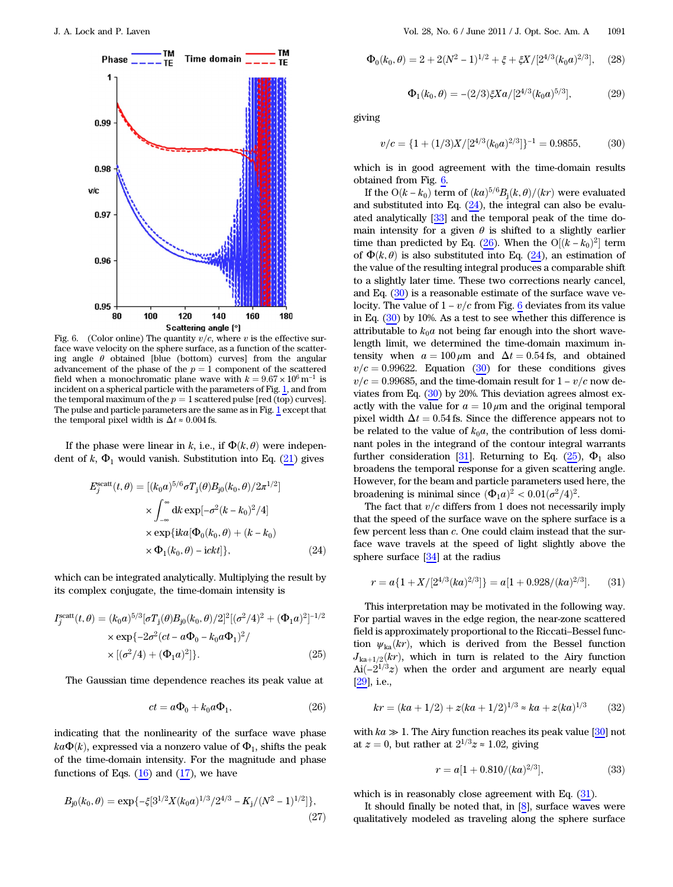<span id="page-5-1"></span>

Fig. 6. (Color online) The quantity  $v/c$ , where v is the effective surface wave velocity on the sphere surface, as a function of the scattering angle  $\theta$  obtained [blue (bottom) curves] from the angular advancement of the phase of the  $p = 1$  component of the scattered field when a monochromatic plane wave with  $k = 9.67 \times 10^6 \,\mathrm{m}^{-1}$  is incident on a spherical particle with the parameters of Fig. [1](#page-1-5), and from the temporal maximum of the  $p = 1$  scattered pulse [red (top) curves]. The pulse and particle parameters are the same as in Fig. [1](#page-1-5) except that the temporal pixel width is  $\Delta t \approx 0.004$  fs.

<span id="page-5-2"></span>If the phase were linear in k, i.e., if  $\Phi(k, \theta)$  were independent of  $k$ ,  $\Phi_1$  would vanish. Substitution into Eq. [\(21](#page-4-4)) gives

$$
E_j^{\text{scatt}}(t,\theta) = [(k_0 a)^{5/6} \sigma T_j(\theta) B_{j0}(k_0, \theta) / 2\pi^{1/2}]
$$
  
\n
$$
\times \int_{-\infty}^{\infty} dk \exp[-\sigma^2 (k - k_0)^2 / 4]
$$
  
\n
$$
\times \exp\{ik a[\Phi_0(k_0, \theta) + (k - k_0)
$$
  
\n
$$
\times \Phi_1(k_0, \theta) - i ckt]\},
$$
\n(24)

<span id="page-5-5"></span>which can be integrated analytically. Multiplying the result by its complex conjugate, the time-domain intensity is

$$
I_j^{\text{scatt}}(t,\theta) = (k_0 a)^{5/3} [\sigma T_j(\theta) B_{j0}(k_0,\theta)/2]^2 [(\sigma^2/4)^2 + (\Phi_1 a)^2]^{-1/2}
$$
  
×  $\exp\{-2\sigma^2(ct - a\Phi_0 - k_0 a\Phi_1)^2/\}$   
×  $[(\sigma^2/4) + (\Phi_1 a)^2]\}$ . (25)

<span id="page-5-3"></span>The Gaussian time dependence reaches its peak value at

$$
ct = a\Phi_0 + k_0 a\Phi_1,\tag{26}
$$

indicating that the nonlinearity of the surface wave phase  $ka\Phi(k)$ , expressed via a nonzero value of  $\Phi_1$ , shifts the peak of the time-domain intensity. For the magnitude and phase functions of Eqs.  $(16)$  $(16)$  and  $(17)$  $(17)$ , we have

<span id="page-5-0"></span>
$$
B_{j0}(k_0, \theta) = \exp\{-\xi[3^{1/2}X(k_0a)^{1/3}/2^{4/3} - K_j/(N^2 - 1)^{1/2}]\},\tag{27}
$$

$$
\Phi_0(k_0, \theta) = 2 + 2(N^2 - 1)^{1/2} + \xi + \xi X/[2^{4/3}(k_0 a)^{2/3}], \quad (28)
$$

$$
\Phi_1(k_0, \theta) = -(2/3)\xi X a/[2^{4/3}(k_0 a)^{5/3}],\tag{29}
$$

<span id="page-5-4"></span>giving

$$
v/c = \{1 + (1/3)X/[2^{4/3}(k_0a)^{2/3}]\}^{-1} = 0.9855, \tag{30}
$$

which is in good agreement with the time-domain results obtained from Fig. [6.](#page-5-1)

If the O( $k - k_0$ ) term of  $(ka)^{5/6}B_j(k, \theta)/(kr)$  were evaluated and substituted into Eq.  $(24)$  $(24)$ , the integral can also be evaluated analytically [[33\]](#page-9-5) and the temporal peak of the time domain intensity for a given  $\theta$  is shifted to a slightly earlier time than predicted by Eq. ([26\)](#page-5-3). When the  $O[(k - k_0)^2]$  term of  $\Phi(k, \theta)$  is also substituted into Eq. ([24\)](#page-5-2), an estimation of the value of the resulting integral produces a comparable shift to a slightly later time. These two corrections nearly cancel, and Eq. [\(30\)](#page-5-4) is a reasonable estimate of the surface wave velocity. The value of  $1 - v/c$  from Fig. [6](#page-5-1) deviates from its value in Eq. [\(30](#page-5-4)) by 10%. As a test to see whether this difference is attributable to  $k_0a$  not being far enough into the short wavelength limit, we determined the time-domain maximum intensity when  $a = 100 \,\mu\text{m}$  and  $\Delta t = 0.54 \,\text{fs}$ , and obtained  $v/c=0.99622$ . Equation [\(30](#page-5-4)) for these conditions gives  $v/c=0.99685$ , and the time-domain result for  $1 - v/c$  now deviates from Eq. ([30\)](#page-5-4) by 20%. This deviation agrees almost exactly with the value for  $a = 10 \mu m$  and the original temporal pixel width  $\Delta t = 0.54$  fs. Since the difference appears not to be related to the value of  $k_0a$ , the contribution of less dominant poles in the integrand of the contour integral warrants further consideration [31]. Returning to Eq. ([25\)](#page-5-5),  $\Phi_1$  also broadens the temporal response for a given scattering angle. However, for the beam and particle parameters used here, the broadening is minimal since  $(\Phi_1 a)^2 < 0.01(\sigma^2/4)^2$ .

The fact that  $v/c$  differs from 1 does not necessarily imply that the speed of the surface wave on the sphere surface is a few percent less than c. One could claim instead that the surface wave travels at the speed of light slightly above the sphere surface [\[34](#page-9-6)] at the radius

<span id="page-5-6"></span>
$$
r = a\{1 + X/[2^{4/3}(ka)^{2/3}]\} = a[1 + 0.928/(ka)^{2/3}].
$$
 (31)

This interpretation may be motivated in the following way. For partial waves in the edge region, the near-zone scattered field is approximately proportional to the Riccati–Bessel function  $\psi_{ka}(kr)$ , which is derived from the Bessel function  $J_{ka+1/2}(kr)$ , which in turn is related to the Airy function Ai $\left(-2^{1/3}z\right)$  when the order and argument are nearly equal [29], i.e.,

$$
kr = (ka + 1/2) + z(ka + 1/2)^{1/3} \approx ka + z(ka)^{1/3}
$$
 (32)

with  $ka \gg 1$ . The Airy function reaches its peak value [30] not at  $z = 0$ , but rather at  $2^{1/3}z \approx 1.02$ , giving

$$
r = a[1 + 0.810/(ka)^{2/3}], \tag{33}
$$

which is in reasonably close agreement with Eq. ([31](#page-5-6)).

It should finally be noted that, in [\[8\]](#page-9-4), surface waves were qualitatively modeled as traveling along the sphere surface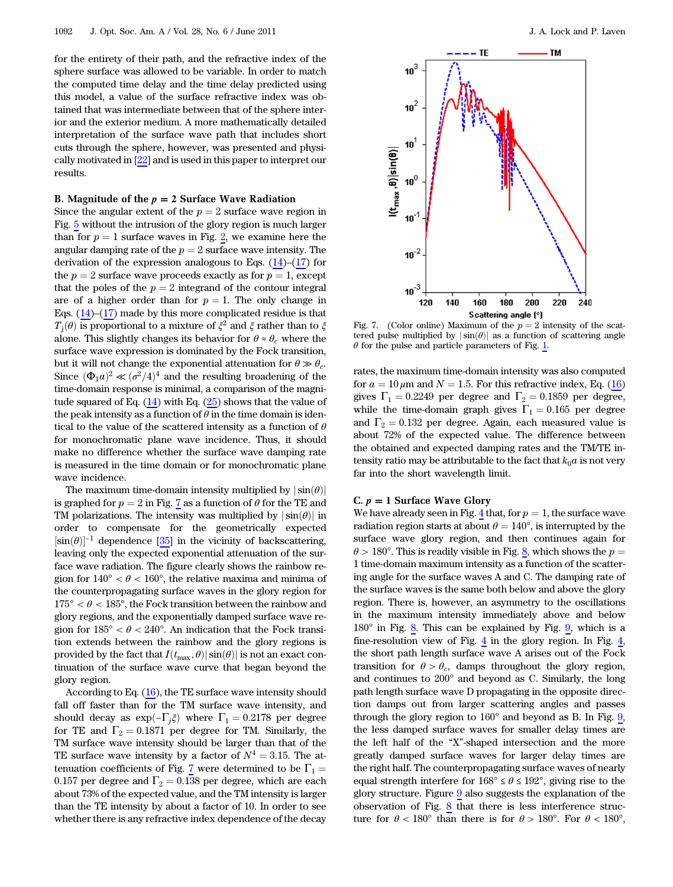for the entirety of their path, and the refractive index of the sphere surface was allowed to be variable. In order to match the computed time delay and the time delay predicted using this model, a value of the surface refractive index was obtained that was intermediate between that of the sphere interior and the exterior medium. A more mathematically detailed interpretation of the surface wave path that includes short cuts through the sphere, however, was presented and physically motivated in [22] and is used in this paper to interpret our results.

## B. Magnitude of the  $p = 2$  Surface Wave Radiation

Since the angular extent of the  $p = 2$  surface wave region in Fig. [5](#page-3-2) without the intrusion of the glory region is much larger than for  $p = 1$  surface waves in Fig. [2](#page-2-0), we examine here the angular damping rate of the  $p = 2$  surface wave intensity. The derivation of the expression analogous to Eqs.  $(14)$  $(14)$ – $(17)$  $(17)$  for the  $p = 2$  surface wave proceeds exactly as for  $p = 1$ , except that the poles of the  $p = 2$  integrand of the contour integral are of a higher order than for  $p = 1$ . The only change in Eqs.  $(14)$  $(14)$ – $(17)$  $(17)$  made by this more complicated residue is that  $T_i(\theta)$  is proportional to a mixture of  $\xi^2$  and  $\xi$  rather than to  $\xi$ alone. This slightly changes its behavior for  $\theta \approx \theta_c$  where the surface wave expression is dominated by the Fock transition, but it will not change the exponential attenuation for  $\theta \gg \theta_c$ . Since  $(\Phi_1 a)^2 \ll (\sigma^2/4)^4$  and the resulting broadening of the time-domain response is minimal, a comparison of the magnitude squared of Eq.  $(14)$  $(14)$  with Eq.  $(25)$  $(25)$  shows that the value of the peak intensity as a function of  $\theta$  in the time domain is identical to the value of the scattered intensity as a function of  $\theta$ for monochromatic plane wave incidence. Thus, it should make no difference whether the surface wave damping rate is measured in the time domain or for monochromatic plane wave incidence.

The maximum time-domain intensity multiplied by  $|\sin(\theta)|$ is graphed for  $p = 2$  in Fig. [7](#page-6-0) as a function of  $\theta$  for the TE and TM polarizations. The intensity was multiplied by  $|\sin(\theta)|$  in order to compensate for the geometrically expected  $[\sin(\theta)]^{-1}$  dependence [[35\]](#page-9-7) in the vicinity of backscattering, leaving only the expected exponential attenuation of the surface wave radiation. The figure clearly shows the rainbow region for  $140^{\circ} < \theta < 160^{\circ}$ , the relative maxima and minima of the counterpropagating surface waves in the glory region for  $175^{\circ} < \theta < 185^{\circ}$ , the Fock transition between the rainbow and glory regions, and the exponentially damped surface wave region for  $185^{\circ} < \theta < 240^{\circ}$ . An indication that the Fock transition extends between the rainbow and the glory regions is provided by the fact that  $I(t_{\text{max}}, \theta) |\sin(\theta)|$  is not an exact continuation of the surface wave curve that began beyond the glory region.

According to Eq. [\(16](#page-4-5)), the TE surface wave intensity should fall off faster than for the TM surface wave intensity, and should decay as  $\exp(-\Gamma_j \xi)$  where  $\Gamma_1 = 0.2178$  per degree for TE and  $\Gamma_2 = 0.1871$  per degree for TM. Similarly, the TM surface wave intensity should be larger than that of the TE surface wave intensity by a factor of  $N^4 = 3.15$ . The at-tenuation coefficients of Fig. [7](#page-6-0) were determined to be  $\Gamma_1=$ 0.157 per degree and  $\Gamma_2 = 0.138$  per degree, which are each about 73% of the expected value, and the TM intensity is larger than the TE intensity by about a factor of 10. In order to see whether there is any refractive index dependence of the decay

<span id="page-6-0"></span>

Fig. 7. (Color online) Maximum of the  $p = 2$  intensity of the scattered pulse multiplied by  $|\sin(\theta)|$  as a function of scattering angle  $\theta$  for the pulse and particle parameters of Fig. [1.](#page-1-5)

rates, the maximum time-domain intensity was also computed for  $a = 10 \mu$ m and  $N = 1.5$ . For this refractive index, Eq. ([16\)](#page-4-5) gives  $\Gamma_1 = 0.2249$  per degree and  $\Gamma_2 = 0.1859$  per degree, while the time-domain graph gives  $\Gamma_1 = 0.165$  per degree and  $\Gamma_2 = 0.132$  per degree. Again, each measured value is about 72% of the expected value. The difference between the obtained and expected damping rates and the TM/TE intensity ratio may be attributable to the fact that  $k_0a$  is not very far into the short wavelength limit.

## C.  $p = 1$  Surface Wave Glory

We have already seen in Fig. [4](#page-3-1) that, for  $p = 1$ , the surface wave radiation region starts at about  $\theta = 140^{\circ}$ , is interrupted by the surface wave glory region, and then continues again for  $\theta$  > 1[8](#page-7-0)0°. This is readily visible in Fig. 8, which shows the  $p =$ 1 time-domain maximum intensity as a function of the scattering angle for the surface waves A and C. The damping rate of the surface waves is the same both below and above the glory region. There is, however, an asymmetry to the oscillations in the maximum intensity immediately above and below 180° in Fig. [8](#page-7-0). This can be explained by Fig. [9](#page-7-1), which is a fine-resolution view of Fig. [4](#page-3-1) in the glory region. In Fig. [4,](#page-3-1) the short path length surface wave A arises out of the Fock transition for  $\theta > \theta_c$ , damps throughout the glory region, and continues to 200° and beyond as C. Similarly, the long path length surface wave D propagating in the opposite direction damps out from larger scattering angles and passes through the glory region to 160° and beyond as B. In Fig. [9,](#page-7-1) the less damped surface waves for smaller delay times are the left half of the "X"-shaped intersection and the more greatly damped surface waves for larger delay times are the right half. The counterpropagating surface waves of nearly equal strength interfere for  $168^{\circ} \le \theta \le 192^{\circ}$ , giving rise to the glory structure. Figure [9](#page-7-1) also suggests the explanation of the observation of Fig. [8](#page-7-0) that there is less interference structure for  $\theta < 180^{\circ}$  than there is for  $\theta > 180^{\circ}$ . For  $\theta < 180^{\circ}$ ,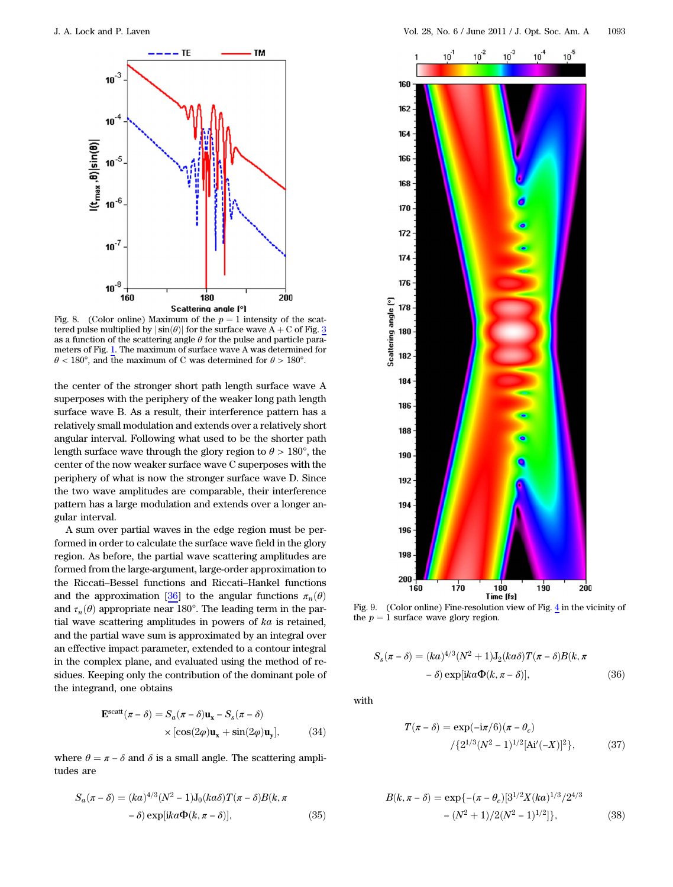<span id="page-7-0"></span>

tered pulse multiplied by  $|\sin(\theta)|$  for the surface wave A + C of Fig. [3](#page-2-1) as a function of the scattering angle  $\theta$  for the pulse and particle parameters of Fig. [1](#page-1-5). The maximum of surface wave A was determined for  $\theta$  < 180°, and the maximum of C was determined for  $\theta$  > 180°.

the center of the stronger short path length surface wave A superposes with the periphery of the weaker long path length surface wave B. As a result, their interference pattern has a relatively small modulation and extends over a relatively short angular interval. Following what used to be the shorter path length surface wave through the glory region to  $\theta > 180^{\circ}$ , the center of the now weaker surface wave C superposes with the periphery of what is now the stronger surface wave D. Since the two wave amplitudes are comparable, their interference pattern has a large modulation and extends over a longer angular interval.

A sum over partial waves in the edge region must be performed in order to calculate the surface wave field in the glory region. As before, the partial wave scattering amplitudes are formed from the large-argument, large-order approximation to the Riccati–Bessel functions and Riccati–Hankel functions and the approximation [\[36](#page-9-8)] to the angular functions  $\pi_n(\theta)$ and  $\tau_n(\theta)$  appropriate near 180°. The leading term in the partial wave scattering amplitudes in powers of ka is retained, and the partial wave sum is approximated by an integral over an effective impact parameter, extended to a contour integral in the complex plane, and evaluated using the method of residues. Keeping only the contribution of the dominant pole of the integrand, one obtains

<span id="page-7-6"></span>
$$
\mathbf{E}^{\text{scatt}}(\pi - \delta) = S_a(\pi - \delta)\mathbf{u}_x - S_s(\pi - \delta)
$$

$$
\times [\cos(2\varphi)\mathbf{u}_x + \sin(2\varphi)\mathbf{u}_y], \tag{34}
$$

<span id="page-7-4"></span>where  $\theta = \pi - \delta$  and  $\delta$  is a small angle. The scattering amplitudes are

$$
S_a(\pi - \delta) = (ka)^{4/3} (N^2 - 1) J_0(ka\delta) T(\pi - \delta) B(k, \pi - \delta) \exp[ika\Phi(k, \pi - \delta)],
$$
\n(35)

<span id="page-7-1"></span>

Fig. 9. (Color online) Fine-resolution view of Fig. [4](#page-3-1) in the vicinity of the  $p = 1$  surface wave glory region.

<span id="page-7-5"></span>
$$
S_s(\pi - \delta) = (ka)^{4/3} (N^2 + 1) J_2(ka\delta) T(\pi - \delta) B(k, \pi - \delta) \exp[ika\Phi(k, \pi - \delta)],
$$
\n(36)

<span id="page-7-3"></span>with

$$
T(\pi - \delta) = \exp(-i\pi/6)(\pi - \theta_c)
$$

$$
/ \{2^{1/3}(N^2 - 1)^{1/2}[\text{Ai}'(-X)]^2\},
$$
(37)

<span id="page-7-2"></span>
$$
B(k, \pi - \delta) = \exp\{- (\pi - \theta_c) [3^{1/2} X (ka)^{1/3} / 2^{4/3} - (N^2 + 1) / 2 (N^2 - 1)^{1/2}] \},
$$
 (38)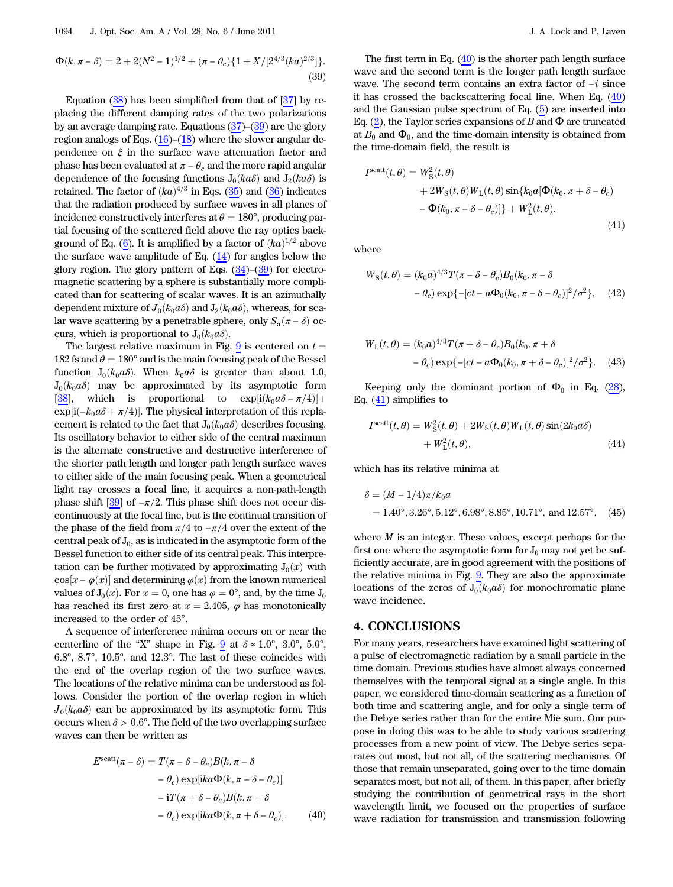<span id="page-8-1"></span>
$$
\Phi(k, \pi - \delta) = 2 + 2(N^2 - 1)^{1/2} + (\pi - \theta_c)\{1 + X/[2^{4/3}(ka)^{2/3}]\}.
$$
\n(39)

Equation  $(38)$  $(38)$  has been simplified from that of  $[37]$  $[37]$  by replacing the different damping rates of the two polarizations by an average damping rate. Equations  $(37)$  $(37)$ – $(39)$  $(39)$  are the glory region analogs of Eqs.  $(16)$  $(16)$ – $(18)$  $(18)$  where the slower angular dependence on  $\xi$  in the surface wave attenuation factor and phase has been evaluated at  $\pi - \theta_c$  and the more rapid angular dependence of the focusing functions  $J_0(ka\delta)$  and  $J_2(ka\delta)$  is retained. The factor of  $(ka)^{4/3}$  in Eqs. ([35\)](#page-7-4) and ([36\)](#page-7-5) indicates that the radiation produced by surface waves in all planes of incidence constructively interferes at  $\theta = 180^{\circ}$ , producing partial focusing of the scattered field above the ray optics back-ground of Eq. ([6](#page-1-1)). It is amplified by a factor of  $(ka)^{1/2}$  above the surface wave amplitude of Eq. [\(14](#page-3-3)) for angles below the glory region. The glory pattern of Eqs.  $(34)$  $(34)$ – $(39)$  $(39)$  for electromagnetic scattering by a sphere is substantially more complicated than for scattering of scalar waves. It is an azimuthally dependent mixture of  $J_0(k_0a\delta)$  and  $J_2(k_0a\delta)$ , whereas, for scalar wave scattering by a penetrable sphere, only  $S_a(\pi - \delta)$  occurs, which is proportional to  $J_0(k_0a\delta)$ .

The largest relative maximum in Fig. [9](#page-7-1) is centered on  $t =$ 182 fs and  $\theta = 180^\circ$  and is the main focusing peak of the Bessel function  $J_0(k_0a\delta)$ . When  $k_0a\delta$  is greater than about 1.0,  $J_0(k_0a\delta)$  may be approximated by its asymptotic form [[38\]](#page-9-10), which is proportional to  $\exp[i(k_0a\delta - \pi/4)] +$  $\exp[i(-k_0a\delta + \pi/4)]$ . The physical interpretation of this replacement is related to the fact that  $J_0(k_0a\delta)$  describes focusing. Its oscillatory behavior to either side of the central maximum is the alternate constructive and destructive interference of the shorter path length and longer path length surface waves to either side of the main focusing peak. When a geometrical light ray crosses a focal line, it acquires a non-path-length phase shift  $[39]$  $[39]$  of  $-\pi/2$ . This phase shift does not occur discontinuously at the focal line, but is the continual transition of the phase of the field from  $\pi/4$  to  $-\pi/4$  over the extent of the central peak of  $J_0$ , as is indicated in the asymptotic form of the Bessel function to either side of its central peak. This interpretation can be further motivated by approximating  $J_0(x)$  with  $\cos[x - \varphi(x)]$  and determining  $\varphi(x)$  from the known numerical values of  $J_0(x)$ . For  $x = 0$ , one has  $\varphi = 0^{\circ}$ , and, by the time  $J_0$ has reached its first zero at  $x = 2.405$ ,  $\varphi$  has monotonically increased to the order of 45°.

A sequence of interference minima occurs on or near the centerline of the "X" shape in Fig. [9](#page-7-1) at  $\delta \approx 1.0^{\circ}$ ,  $3.0^{\circ}$ ,  $5.0^{\circ}$ , 6:8°, 8:7°, 10:5°, and 12:3°. The last of these coincides with the end of the overlap region of the two surface waves. The locations of the relative minima can be understood as follows. Consider the portion of the overlap region in which  $J_0(k_0a\delta)$  can be approximated by its asymptotic form. This occurs when  $\delta > 0.6^{\circ}$ . The field of the two overlapping surface waves can then be written as

<span id="page-8-2"></span>
$$
E^{\text{scatt}}(\pi - \delta) = T(\pi - \delta - \theta_c)B(k, \pi - \delta
$$

$$
-\theta_c) \exp[ika\Phi(k, \pi - \delta - \theta_c)]
$$

$$
-iT(\pi + \delta - \theta_c)B(k, \pi + \delta
$$

$$
-\theta_c) \exp[ika\Phi(k, \pi + \delta - \theta_c)]. \tag{40}
$$

The first term in Eq.  $(40)$  $(40)$  is the shorter path length surface wave and the second term is the longer path length surface wave. The second term contains an extra factor of  $-i$  since it has crossed the backscattering focal line. When Eq. ([40\)](#page-8-2) and the Gaussian pulse spectrum of Eq. [\(5\)](#page-1-2) are inserted into Eq. [\(2\)](#page-1-3), the Taylor series expansions of B and  $\Phi$  are truncated at  $B_0$  and  $\Phi_0$ , and the time-domain intensity is obtained from the time-domain field, the result is

<span id="page-8-3"></span>
$$
Iscatt(t, \theta) = WS2(t, \theta)
$$
  
+ 2W<sub>S</sub>(t, \theta)W<sub>L</sub>(t, \theta) sin{k<sub>0</sub>a[ $\Phi$ (k<sub>0</sub>,  $\pi + \delta - \theta_c$ )  
-  $\Phi$ (k<sub>0</sub>,  $\pi - \delta - \theta_c$ )] + W<sub>L</sub><sup>2</sup>(t, \theta), (41)

where

$$
W_S(t,\theta) = (k_0 a)^{4/3} T(\pi - \delta - \theta_c) B_0(k_0, \pi - \delta
$$

$$
- \theta_c) \exp\{-[ct - a\Phi_0(k_0, \pi - \delta - \theta_c)]^2/\sigma^2\}, \quad (42)
$$

$$
W_{\text{L}}(t,\theta) = (k_0 a)^{4/3} T(\pi + \delta - \theta_c) B_0(k_0, \pi + \delta
$$

$$
- \theta_c) \exp\{-[ct - a\Phi_0(k_0, \pi + \delta - \theta_c)]^2/\sigma^2\}.
$$
 (43)

Keeping only the dominant portion of  $\Phi_0$  in Eq. [\(28](#page-5-0)), Eq. [\(41](#page-8-3)) simplifies to

$$
Iscatt(t, \theta) = WS2(t, \theta) + 2WS(t, \theta)WL(t, \theta)sin(2k0a\delta)
$$
  
+ W<sub>L</sub><sup>2</sup>(t, \theta), (44)

which has its relative minima at

$$
\delta = (M - 1/4)\pi/k_0 a
$$
  
= 1.40°, 3.26°, 5.12°, 6.98°, 8.85°, 10.71°, and 12.57°, (45)

where  $M$  is an integer. These values, except perhaps for the first one where the asymptotic form for  $J_0$  may not yet be sufficiently accurate, are in good agreement with the positions of the relative minima in Fig. [9.](#page-7-1) They are also the approximate locations of the zeros of  $J_0(k_0a\delta)$  for monochromatic plane wave incidence.

# <span id="page-8-0"></span>4. CONCLUSIONS

For many years, researchers have examined light scattering of a pulse of electromagnetic radiation by a small particle in the time domain. Previous studies have almost always concerned themselves with the temporal signal at a single angle. In this paper, we considered time-domain scattering as a function of both time and scattering angle, and for only a single term of the Debye series rather than for the entire Mie sum. Our purpose in doing this was to be able to study various scattering processes from a new point of view. The Debye series separates out most, but not all, of the scattering mechanisms. Of those that remain unseparated, going over to the time domain separates most, but not all, of them. In this paper, after briefly studying the contribution of geometrical rays in the short wavelength limit, we focused on the properties of surface wave radiation for transmission and transmission following